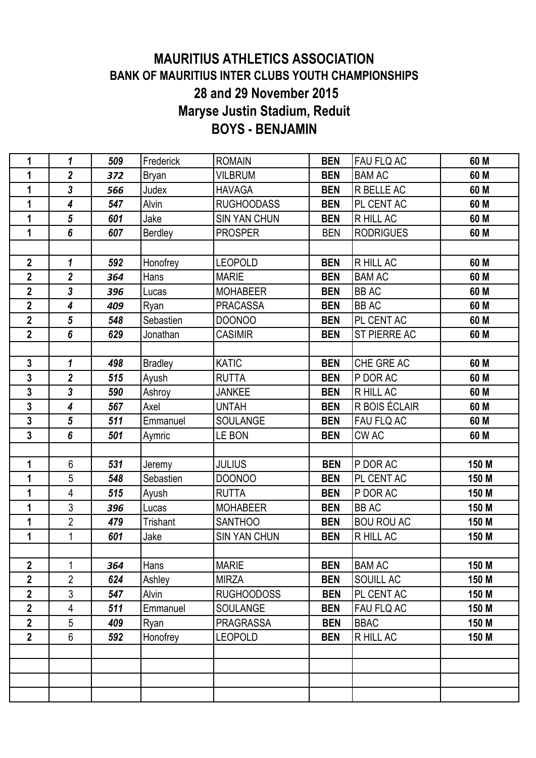## **MAURITIUS ATHLETICS ASSOCIATION BANK OF MAURITIUS INTER CLUBS YOUTH CHAMPIONSHIPS 28 and 29 November 2015 Maryse Justin Stadium, Reduit BOYS - BENJAMIN**

| 1              | 1                       | 509 | Frederick      | <b>ROMAIN</b>       | <b>BEN</b> | <b>FAU FLQ AC</b>   | 60 M  |
|----------------|-------------------------|-----|----------------|---------------------|------------|---------------------|-------|
| 1              | $\overline{2}$          | 372 | Bryan          | <b>VILBRUM</b>      | <b>BEN</b> | <b>BAM AC</b>       | 60 M  |
| 1              | $\overline{3}$          | 566 | Judex          | <b>HAVAGA</b>       | <b>BEN</b> | R BELLE AC          | 60 M  |
| 1              | $\boldsymbol{4}$        | 547 | Alvin          | <b>RUGHOODASS</b>   | <b>BEN</b> | PL CENT AC          | 60 M  |
| 1              | $5\phantom{.0}$         | 601 | Jake           | <b>SIN YAN CHUN</b> | <b>BEN</b> | R HILL AC           | 60 M  |
| 1              | 6                       | 607 | Berdley        | <b>PROSPER</b>      | <b>BEN</b> | <b>RODRIGUES</b>    | 60 M  |
|                |                         |     |                |                     |            |                     |       |
| $\mathbf{2}$   | 1                       | 592 | Honofrey       | <b>LEOPOLD</b>      | <b>BEN</b> | R HILL AC           | 60 M  |
| $\overline{2}$ | $\overline{\mathbf{2}}$ | 364 | Hans           | <b>MARIE</b>        | <b>BEN</b> | <b>BAM AC</b>       | 60 M  |
| $\overline{2}$ | $\overline{3}$          | 396 | Lucas          | <b>MOHABEER</b>     | <b>BEN</b> | <b>BB AC</b>        | 60 M  |
| $\overline{2}$ | $\overline{\mathbf{4}}$ | 409 | Ryan           | <b>PRACASSA</b>     | <b>BEN</b> | <b>BB AC</b>        | 60 M  |
| $\overline{2}$ | $\overline{5}$          | 548 | Sebastien      | <b>DOONOO</b>       | <b>BEN</b> | PL CENT AC          | 60 M  |
| $\overline{2}$ | $6\phantom{1}$          | 629 | Jonathan       | <b>CASIMIR</b>      | <b>BEN</b> | <b>ST PIERRE AC</b> | 60 M  |
|                |                         |     |                |                     |            |                     |       |
| $\mathbf{3}$   | $\mathbf 1$             | 498 | <b>Bradley</b> | <b>KATIC</b>        | <b>BEN</b> | CHE GRE AC          | 60 M  |
| 3              | $\overline{2}$          | 515 | Ayush          | <b>RUTTA</b>        | <b>BEN</b> | P DOR AC            | 60 M  |
| $\overline{3}$ | $\overline{3}$          | 590 | Ashroy         | <b>JANKEE</b>       | <b>BEN</b> | R HILL AC           | 60 M  |
| 3              | $\overline{\mathbf{4}}$ | 567 | Axel           | <b>UNTAH</b>        | <b>BEN</b> | R BOIS ÉCLAIR       | 60 M  |
| 3              | $5\phantom{.0}$         | 511 | Emmanuel       | <b>SOULANGE</b>     | <b>BEN</b> | FAU FLQ AC          | 60 M  |
| $\overline{3}$ | $6\phantom{a}$          | 501 | Aymric         | LE BON              | <b>BEN</b> | <b>CWAC</b>         | 60 M  |
|                |                         |     |                |                     |            |                     |       |
| 1              | 6                       | 531 | Jeremy         | <b>JULIUS</b>       | <b>BEN</b> | P DOR AC            | 150 M |
| 1              | 5                       | 548 | Sebastien      | <b>DOONOO</b>       | <b>BEN</b> | PL CENT AC          | 150 M |
| 1              | 4                       | 515 | Ayush          | <b>RUTTA</b>        | <b>BEN</b> | P DOR AC            | 150 M |
| 1              | 3                       | 396 | Lucas          | <b>MOHABEER</b>     | <b>BEN</b> | <b>BB AC</b>        | 150 M |
| 1              | $\overline{2}$          | 479 | Trishant       | <b>SANTHOO</b>      | <b>BEN</b> | <b>BOU ROU AC</b>   | 150 M |
| 1              | $\mathbf 1$             | 601 | Jake           | <b>SIN YAN CHUN</b> | <b>BEN</b> | R HILL AC           | 150 M |
|                |                         |     |                |                     |            |                     |       |
| $\mathbf 2$    | 1                       | 364 | Hans           | <b>MARIE</b>        | <b>BEN</b> | <b>BAM AC</b>       | 150 M |
| $\mathbf 2$    | 2                       | 624 | Ashley         | <b>MIRZA</b>        | <b>BEN</b> | SOUILL AC           | 150 M |
| $\overline{2}$ | 3                       | 547 | Alvin          | RUGHOODOSS          | <b>BEN</b> | PL CENT AC          | 150 M |
| $\overline{2}$ | 4                       | 511 | Emmanuel       | <b>SOULANGE</b>     | <b>BEN</b> | FAU FLQ AC          | 150 M |
| $\mathbf{2}$   | 5                       | 409 | Ryan           | <b>PRAGRASSA</b>    | <b>BEN</b> | <b>BBAC</b>         | 150 M |
| $\overline{2}$ | 6                       | 592 | Honofrey       | <b>LEOPOLD</b>      | <b>BEN</b> | R HILL AC           | 150 M |
|                |                         |     |                |                     |            |                     |       |
|                |                         |     |                |                     |            |                     |       |
|                |                         |     |                |                     |            |                     |       |
|                |                         |     |                |                     |            |                     |       |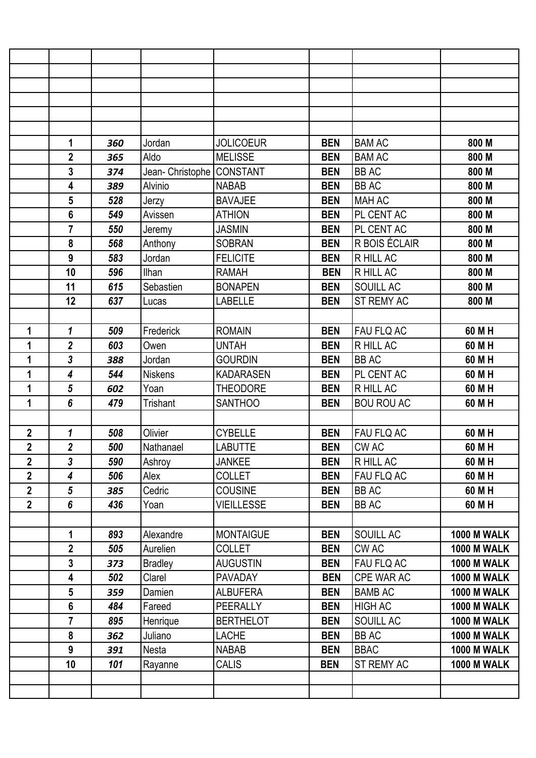|                         | 1                       | 360 | Jordan                    | <b>JOLICOEUR</b>  | <b>BEN</b> | <b>BAM AC</b>     | 800 M              |
|-------------------------|-------------------------|-----|---------------------------|-------------------|------------|-------------------|--------------------|
|                         | $\overline{2}$          | 365 | Aldo                      | <b>MELISSE</b>    | <b>BEN</b> | <b>BAM AC</b>     | 800 M              |
|                         | 3                       | 374 | Jean- Christophe CONSTANT |                   | <b>BEN</b> | <b>BB AC</b>      | 800 M              |
|                         | 4                       | 389 | Alvinio                   | <b>NABAB</b>      | <b>BEN</b> | <b>BB AC</b>      | 800 M              |
|                         | 5                       | 528 | Jerzy                     | <b>BAVAJEE</b>    | <b>BEN</b> | <b>MAH AC</b>     | 800 M              |
|                         | $6\phantom{1}$          | 549 | Avissen                   | <b>ATHION</b>     | <b>BEN</b> | PL CENT AC        | 800 M              |
|                         | $\overline{7}$          | 550 | Jeremy                    | <b>JASMIN</b>     | <b>BEN</b> | PL CENT AC        | 800 M              |
|                         | 8                       | 568 | Anthony                   | <b>SOBRAN</b>     | <b>BEN</b> | R BOIS ÉCLAIR     | 800 M              |
|                         | 9                       | 583 | Jordan                    | <b>FELICITE</b>   | <b>BEN</b> | R HILL AC         | 800 M              |
|                         | 10                      | 596 | Ilhan                     | <b>RAMAH</b>      | <b>BEN</b> | R HILL AC         | 800 M              |
|                         | 11                      | 615 | Sebastien                 | <b>BONAPEN</b>    | <b>BEN</b> | SOUILL AC         | 800 M              |
|                         | 12                      | 637 | Lucas                     | <b>LABELLE</b>    | <b>BEN</b> | ST REMY AC        | 800 M              |
|                         |                         |     |                           |                   |            |                   |                    |
| 1                       | $\mathbf{1}$            | 509 | Frederick                 | <b>ROMAIN</b>     | <b>BEN</b> | FAU FLQ AC        | 60 M H             |
| 1                       | $\overline{\mathbf{2}}$ | 603 | Owen                      | <b>UNTAH</b>      | <b>BEN</b> | R HILL AC         | 60 M H             |
| 1                       | 3                       | 388 | Jordan                    | <b>GOURDIN</b>    | <b>BEN</b> | <b>BB AC</b>      | 60 M H             |
| 1                       | 4                       | 544 | Niskens                   | <b>KADARASEN</b>  | <b>BEN</b> | PL CENT AC        | 60 M H             |
| 1                       | 5                       | 602 | Yoan                      | <b>THEODORE</b>   | <b>BEN</b> | R HILL AC         | 60 M H             |
| 1                       | 6                       | 479 | Trishant                  | <b>SANTHOO</b>    | <b>BEN</b> | <b>BOU ROU AC</b> | 60 M H             |
|                         |                         |     |                           |                   |            |                   |                    |
| 2                       | 1                       | 508 | Olivier                   | <b>CYBELLE</b>    | <b>BEN</b> | FAU FLQ AC        | 60 M H             |
| $\overline{2}$          | $\overline{2}$          | 500 | Nathanael                 | <b>LABUTTE</b>    | <b>BEN</b> | CW AC             | 60 M H             |
| $\overline{2}$          | 3                       | 590 | Ashroy                    | <b>JANKEE</b>     | <b>BEN</b> | R HILL AC         | 60 M H             |
| $\overline{\mathbf{2}}$ | $\overline{\mathbf{4}}$ | 506 | Alex                      | <b>COLLET</b>     | <b>BEN</b> | FAU FLQ AC        | 60 M H             |
| $\overline{2}$          | 5                       | 385 | Cedric                    | <b>COUSINE</b>    | <b>BEN</b> | <b>BB AC</b>      | 60 M H             |
| $\overline{2}$          | 6                       | 436 | Yoan                      | <b>VIEILLESSE</b> | <b>BEN</b> | BB AC             | 60 M H             |
|                         |                         |     |                           |                   |            |                   |                    |
|                         | 1                       | 893 | Alexandre                 | <b>MONTAIGUE</b>  | <b>BEN</b> | SOUILL AC         | <b>1000 M WALK</b> |
|                         | $\overline{2}$          | 505 | Aurelien                  | <b>COLLET</b>     | <b>BEN</b> | CW AC             | <b>1000 M WALK</b> |
|                         | $\mathbf{3}$            | 373 | <b>Bradley</b>            | <b>AUGUSTIN</b>   | <b>BEN</b> | FAU FLQ AC        | <b>1000 M WALK</b> |
|                         | $\overline{\mathbf{4}}$ | 502 | Clarel                    | PAVADAY           | <b>BEN</b> | CPE WAR AC        | <b>1000 M WALK</b> |
|                         | $5\phantom{.0}$         | 359 | Damien                    | <b>ALBUFERA</b>   | <b>BEN</b> | <b>BAMB AC</b>    | <b>1000 M WALK</b> |
|                         | $6\phantom{a}$          | 484 | Fareed                    | <b>PEERALLY</b>   | <b>BEN</b> | <b>HIGH AC</b>    | <b>1000 M WALK</b> |
|                         | $\overline{7}$          | 895 | Henrique                  | <b>BERTHELOT</b>  | <b>BEN</b> | SOUILL AC         | <b>1000 M WALK</b> |
|                         | 8                       | 362 | Juliano                   | <b>LACHE</b>      | <b>BEN</b> | <b>BB AC</b>      | <b>1000 M WALK</b> |
|                         | 9                       | 391 | Nesta                     | <b>NABAB</b>      | <b>BEN</b> | <b>BBAC</b>       | <b>1000 M WALK</b> |
|                         | 10                      | 101 | Rayanne                   | <b>CALIS</b>      | <b>BEN</b> | ST REMY AC        | <b>1000 M WALK</b> |
|                         |                         |     |                           |                   |            |                   |                    |
|                         |                         |     |                           |                   |            |                   |                    |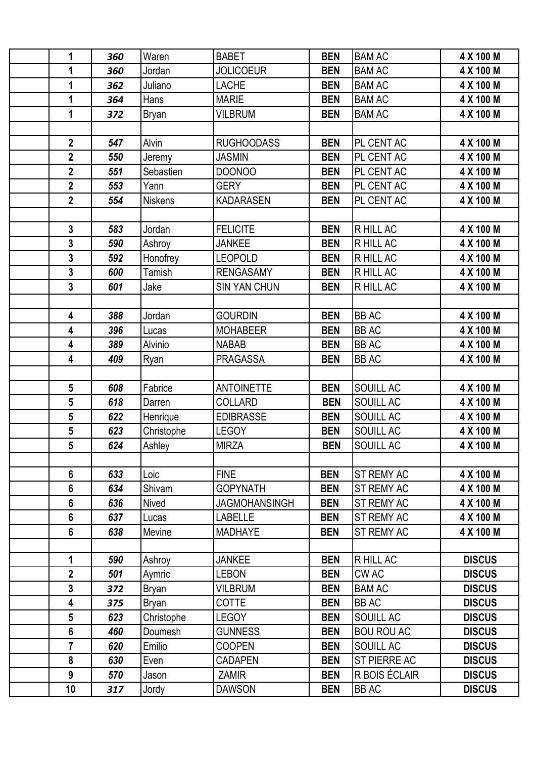| 1                       | 360 | Waren          | <b>BABET</b>         | <b>BEN</b> | <b>BAM AC</b>     | 4 X 100 M     |
|-------------------------|-----|----------------|----------------------|------------|-------------------|---------------|
| 1                       | 360 | Jordan         | <b>JOLICOEUR</b>     | <b>BEN</b> | <b>BAM AC</b>     | 4 X 100 M     |
| 1                       | 362 | Juliano        | <b>LACHE</b>         | <b>BEN</b> | <b>BAM AC</b>     | 4 X 100 M     |
| 1                       | 364 | Hans           | <b>MARIE</b>         | <b>BEN</b> | <b>BAM AC</b>     | 4 X 100 M     |
| 1                       | 372 | <b>Bryan</b>   | <b>VILBRUM</b>       | <b>BEN</b> | <b>BAM AC</b>     | 4 X 100 M     |
|                         |     |                |                      |            |                   |               |
| $\mathbf{2}$            | 547 | Alvin          | <b>RUGHOODASS</b>    | <b>BEN</b> | PL CENT AC        | 4 X 100 M     |
| $\overline{2}$          | 550 | Jeremy         | <b>JASMIN</b>        | <b>BEN</b> | PL CENT AC        | 4 X 100 M     |
| $\overline{\mathbf{2}}$ | 551 | Sebastien      | <b>DOONOO</b>        | <b>BEN</b> | PL CENT AC        | 4 X 100 M     |
| $\overline{2}$          | 553 | Yann           | <b>GERY</b>          | <b>BEN</b> | PL CENT AC        | 4 X 100 M     |
| $\overline{2}$          | 554 | <b>Niskens</b> | <b>KADARASEN</b>     | <b>BEN</b> | PL CENT AC        | 4 X 100 M     |
|                         |     |                |                      |            |                   |               |
| $\mathbf{3}$            | 583 | Jordan         | <b>FELICITE</b>      | <b>BEN</b> | R HILL AC         | 4 X 100 M     |
| $\overline{3}$          | 590 | Ashroy         | <b>JANKEE</b>        | <b>BEN</b> | R HILL AC         | 4 X 100 M     |
| $\overline{3}$          | 592 | Honofrey       | <b>LEOPOLD</b>       | <b>BEN</b> | R HILL AC         | 4 X 100 M     |
| 3                       | 600 | <b>Tamish</b>  | <b>RENGASAMY</b>     | <b>BEN</b> | R HILL AC         | 4 X 100 M     |
| $\overline{3}$          | 601 | Jake           | <b>SIN YAN CHUN</b>  | <b>BEN</b> | R HILL AC         | 4 X 100 M     |
|                         |     |                |                      |            |                   |               |
| $\overline{\mathbf{4}}$ | 388 | Jordan         | <b>GOURDIN</b>       | <b>BEN</b> | <b>BBAC</b>       | 4 X 100 M     |
| 4                       | 396 | Lucas          | <b>MOHABEER</b>      | <b>BEN</b> | <b>BB AC</b>      | 4 X 100 M     |
| 4                       | 389 | Alvinio        | <b>NABAB</b>         | <b>BEN</b> | <b>BB AC</b>      | 4 X 100 M     |
| $\overline{\mathbf{4}}$ | 409 | Ryan           | <b>PRAGASSA</b>      | <b>BEN</b> | <b>BB AC</b>      | 4 X 100 M     |
|                         |     |                |                      |            |                   |               |
| $5\phantom{.0}$         | 608 | Fabrice        | <b>ANTOINETTE</b>    | <b>BEN</b> | SOUILL AC         | 4 X 100 M     |
| $5\phantom{.0}$         | 618 | Darren         | <b>COLLARD</b>       | <b>BEN</b> | SOUILL AC         | 4 X 100 M     |
| 5                       | 622 | Henrique       | <b>EDIBRASSE</b>     | <b>BEN</b> | SOUILL AC         | 4 X 100 M     |
| 5                       | 623 | Christophe     | <b>LEGOY</b>         | <b>BEN</b> | SOUILL AC         | 4 X 100 M     |
| 5                       | 624 | Ashley         | <b>MIRZA</b>         | <b>BEN</b> | SOUILL AC         | 4 X 100 M     |
|                         |     |                |                      |            |                   |               |
| $6\phantom{1}$          | 633 | Loic           | <b>FINE</b>          | <b>BEN</b> | ST REMY AC        | 4 X 100 M     |
| $6\phantom{1}$          | 634 | Shivam         | <b>GOPYNATH</b>      | <b>BEN</b> | ST REMY AC        | 4 X 100 M     |
| $6\phantom{1}$          | 636 | Nived          | <b>JAGMOHANSINGH</b> | <b>BEN</b> | <b>ST REMY AC</b> | 4 X 100 M     |
| $6\phantom{1}$          | 637 | Lucas          | <b>LABELLE</b>       | <b>BEN</b> | ST REMY AC        | 4 X 100 M     |
| 6                       | 638 | Mevine         | <b>MADHAYE</b>       | <b>BEN</b> | ST REMY AC        | 4 X 100 M     |
|                         |     |                |                      |            |                   |               |
| 1                       | 590 | Ashroy         | <b>JANKEE</b>        | <b>BEN</b> | R HILL AC         | <b>DISCUS</b> |
| $\mathbf{2}$            | 501 | Aymric         | <b>LEBON</b>         | <b>BEN</b> | <b>CWAC</b>       | <b>DISCUS</b> |
| 3                       | 372 | Bryan          | <b>VILBRUM</b>       | <b>BEN</b> | <b>BAM AC</b>     | <b>DISCUS</b> |
| $\overline{\mathbf{4}}$ | 375 | <b>Bryan</b>   | <b>COTTE</b>         | <b>BEN</b> | <b>BB AC</b>      | <b>DISCUS</b> |
| 5                       | 623 | Christophe     | <b>LEGOY</b>         | <b>BEN</b> | SOUILL AC         | <b>DISCUS</b> |
| $6\phantom{1}$          | 460 | Doumesh        | <b>GUNNESS</b>       | <b>BEN</b> | <b>BOU ROU AC</b> | <b>DISCUS</b> |
| $\overline{7}$          | 620 | Emilio         | <b>COOPEN</b>        | <b>BEN</b> | SOUILL AC         | <b>DISCUS</b> |
| 8                       | 630 | Even           | <b>CADAPEN</b>       | <b>BEN</b> | ST PIERRE AC      | <b>DISCUS</b> |
| 9                       | 570 | Jason          | <b>ZAMIR</b>         | <b>BEN</b> | R BOIS ÉCLAIR     | <b>DISCUS</b> |
| 10                      | 317 | Jordy          | <b>DAWSON</b>        | <b>BEN</b> | <b>BB AC</b>      | <b>DISCUS</b> |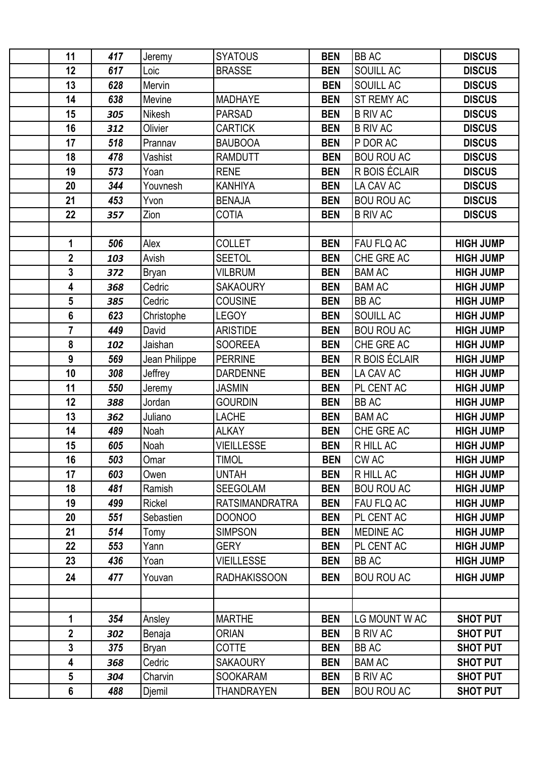| 11                      | 417 | Jeremy        | <b>SYATOUS</b>        | <b>BEN</b> | <b>BB AC</b>      | <b>DISCUS</b>    |
|-------------------------|-----|---------------|-----------------------|------------|-------------------|------------------|
| 12                      | 617 | Loic          | <b>BRASSE</b>         | <b>BEN</b> | SOUILL AC         | <b>DISCUS</b>    |
| 13                      | 628 | Mervin        |                       | <b>BEN</b> | SOUILL AC         | <b>DISCUS</b>    |
| 14                      | 638 | Mevine        | <b>MADHAYE</b>        | <b>BEN</b> | ST REMY AC        | <b>DISCUS</b>    |
| 15                      | 305 | Nikesh        | <b>PARSAD</b>         | <b>BEN</b> | <b>B RIV AC</b>   | <b>DISCUS</b>    |
| 16                      | 312 | Olivier       | <b>CARTICK</b>        | <b>BEN</b> | <b>B RIV AC</b>   | <b>DISCUS</b>    |
| 17                      | 518 | Prannav       | <b>BAUBOOA</b>        | <b>BEN</b> | P DOR AC          | <b>DISCUS</b>    |
| 18                      | 478 | Vashist       | <b>RAMDUTT</b>        | <b>BEN</b> | <b>BOU ROU AC</b> | <b>DISCUS</b>    |
| 19                      | 573 | Yoan          | <b>RENE</b>           | <b>BEN</b> | R BOIS ÉCLAIR     | <b>DISCUS</b>    |
| 20                      | 344 | Youvnesh      | <b>KANHIYA</b>        | <b>BEN</b> | LA CAV AC         | <b>DISCUS</b>    |
| 21                      | 453 | Yvon          | <b>BENAJA</b>         | <b>BEN</b> | <b>BOU ROU AC</b> | <b>DISCUS</b>    |
| 22                      | 357 | Zion          | <b>COTIA</b>          | <b>BEN</b> | <b>B RIV AC</b>   | <b>DISCUS</b>    |
|                         |     |               |                       |            |                   |                  |
| 1                       | 506 | Alex          | <b>COLLET</b>         | <b>BEN</b> | FAU FLQ AC        | <b>HIGH JUMP</b> |
| $\overline{2}$          | 103 | Avish         | <b>SEETOL</b>         | <b>BEN</b> | CHE GRE AC        | <b>HIGH JUMP</b> |
| 3                       | 372 | Bryan         | <b>VILBRUM</b>        | <b>BEN</b> | <b>BAM AC</b>     | <b>HIGH JUMP</b> |
| $\overline{\mathbf{4}}$ | 368 | Cedric        | <b>SAKAOURY</b>       | <b>BEN</b> | <b>BAM AC</b>     | <b>HIGH JUMP</b> |
| 5                       | 385 | Cedric        | <b>COUSINE</b>        | <b>BEN</b> | <b>BB AC</b>      | <b>HIGH JUMP</b> |
| 6                       | 623 | Christophe    | <b>LEGOY</b>          | <b>BEN</b> | SOUILL AC         | <b>HIGH JUMP</b> |
| $\overline{7}$          | 449 | David         | <b>ARISTIDE</b>       | <b>BEN</b> | <b>BOU ROU AC</b> | <b>HIGH JUMP</b> |
| 8                       | 102 | Jaishan       | <b>SOOREEA</b>        | <b>BEN</b> | CHE GRE AC        | <b>HIGH JUMP</b> |
| 9                       | 569 | Jean Philippe | <b>PERRINE</b>        | <b>BEN</b> | R BOIS ÉCLAIR     | <b>HIGH JUMP</b> |
| 10                      | 308 | Jeffrey       | <b>DARDENNE</b>       | <b>BEN</b> | LA CAV AC         | <b>HIGH JUMP</b> |
| 11                      | 550 | Jeremy        | <b>JASMIN</b>         | <b>BEN</b> | PL CENT AC        | <b>HIGH JUMP</b> |
| 12                      | 388 | Jordan        | <b>GOURDIN</b>        | <b>BEN</b> | <b>BB AC</b>      | <b>HIGH JUMP</b> |
| 13                      | 362 | Juliano       | <b>LACHE</b>          | <b>BEN</b> | <b>BAM AC</b>     | <b>HIGH JUMP</b> |
| 14                      | 489 | Noah          | <b>ALKAY</b>          | <b>BEN</b> | CHE GRE AC        | <b>HIGH JUMP</b> |
| 15                      | 605 | Noah          | <b>VIEILLESSE</b>     | <b>BEN</b> | R HILL AC         | <b>HIGH JUMP</b> |
| 16                      | 503 | Omar          | <b>TIMOL</b>          | <b>BEN</b> | <b>CWAC</b>       | <b>HIGH JUMP</b> |
| 17                      | 603 | Owen          | <b>UNTAH</b>          | <b>BEN</b> | R HILL AC         | <b>HIGH JUMP</b> |
| 18                      | 481 | Ramish        | <b>SEEGOLAM</b>       | <b>BEN</b> | <b>BOU ROU AC</b> | <b>HIGH JUMP</b> |
| 19                      | 499 | Rickel        | <b>RATSIMANDRATRA</b> | <b>BEN</b> | FAU FLQ AC        | <b>HIGH JUMP</b> |
| 20                      | 551 | Sebastien     | <b>DOONOO</b>         | <b>BEN</b> | PL CENT AC        | <b>HIGH JUMP</b> |
| 21                      | 514 | Tomy          | <b>SIMPSON</b>        | <b>BEN</b> | <b>MEDINE AC</b>  | <b>HIGH JUMP</b> |
| 22                      | 553 | Yann          | <b>GERY</b>           | <b>BEN</b> | PL CENT AC        | <b>HIGH JUMP</b> |
| 23                      | 436 | Yoan          | <b>VIEILLESSE</b>     | <b>BEN</b> | <b>BB AC</b>      | <b>HIGH JUMP</b> |
| 24                      | 477 | Youvan        | <b>RADHAKISSOON</b>   | <b>BEN</b> | <b>BOU ROU AC</b> | <b>HIGH JUMP</b> |
|                         |     |               |                       |            |                   |                  |
|                         |     |               |                       |            |                   |                  |
| 1                       | 354 | Ansley        | <b>MARTHE</b>         | <b>BEN</b> | LG MOUNT W AC     | <b>SHOT PUT</b>  |
| $\mathbf{2}$            | 302 | Benaja        | <b>ORIAN</b>          | <b>BEN</b> | <b>B RIV AC</b>   | <b>SHOT PUT</b>  |
| 3                       | 375 | Bryan         | <b>COTTE</b>          | <b>BEN</b> | <b>BB AC</b>      | <b>SHOT PUT</b>  |
| $\overline{\mathbf{4}}$ | 368 | Cedric        | <b>SAKAOURY</b>       | <b>BEN</b> | <b>BAM AC</b>     | <b>SHOT PUT</b>  |
| $5\phantom{.0}$         | 304 | Charvin       | <b>SOOKARAM</b>       | <b>BEN</b> | <b>B RIV AC</b>   | <b>SHOT PUT</b>  |
| $6\phantom{a}$          | 488 | Djemil        | <b>THANDRAYEN</b>     | <b>BEN</b> | <b>BOU ROU AC</b> | <b>SHOT PUT</b>  |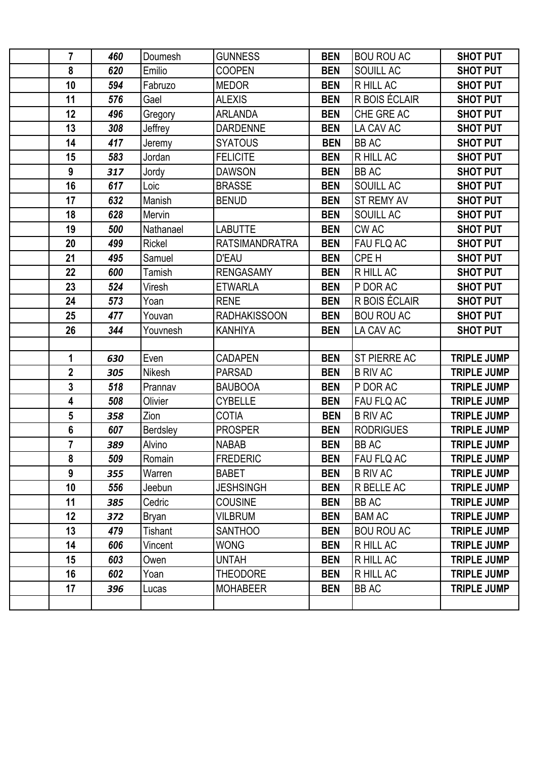| $\overline{7}$          | 460 | Doumesh       | <b>GUNNESS</b>        | <b>BEN</b> | <b>BOU ROU AC</b>   | <b>SHOT PUT</b>    |
|-------------------------|-----|---------------|-----------------------|------------|---------------------|--------------------|
| 8                       | 620 | Emilio        | <b>COOPEN</b>         | <b>BEN</b> | SOUILL AC           | <b>SHOT PUT</b>    |
| 10                      | 594 | Fabruzo       | <b>MEDOR</b>          | <b>BEN</b> | R HILL AC           | <b>SHOT PUT</b>    |
| 11                      | 576 | Gael          | <b>ALEXIS</b>         | <b>BEN</b> | R BOIS ÉCLAIR       | <b>SHOT PUT</b>    |
| 12                      | 496 | Gregory       | <b>ARLANDA</b>        | <b>BEN</b> | CHE GRE AC          | <b>SHOT PUT</b>    |
| 13                      | 308 | Jeffrey       | <b>DARDENNE</b>       | <b>BEN</b> | LA CAV AC           | <b>SHOT PUT</b>    |
| 14                      | 417 | Jeremy        | <b>SYATOUS</b>        | <b>BEN</b> | <b>BB AC</b>        | <b>SHOT PUT</b>    |
| 15                      | 583 | Jordan        | <b>FELICITE</b>       | <b>BEN</b> | R HILL AC           | <b>SHOT PUT</b>    |
| 9                       | 317 | Jordy         | <b>DAWSON</b>         | <b>BEN</b> | <b>BB AC</b>        | <b>SHOT PUT</b>    |
| 16                      | 617 | Loic          | <b>BRASSE</b>         | <b>BEN</b> | SOUILL AC           | <b>SHOT PUT</b>    |
| 17                      | 632 | Manish        | <b>BENUD</b>          | <b>BEN</b> | ST REMY AV          | <b>SHOT PUT</b>    |
| 18                      | 628 | Mervin        |                       | <b>BEN</b> | SOUILL AC           | <b>SHOT PUT</b>    |
| 19                      | 500 | Nathanael     | <b>LABUTTE</b>        | <b>BEN</b> | CW AC               | <b>SHOT PUT</b>    |
| 20                      | 499 | <b>Rickel</b> | <b>RATSIMANDRATRA</b> | <b>BEN</b> | FAU FLQ AC          | <b>SHOT PUT</b>    |
| 21                      | 495 | Samuel        | <b>D'EAU</b>          | <b>BEN</b> | CPE H               | <b>SHOT PUT</b>    |
| 22                      | 600 | Tamish        | <b>RENGASAMY</b>      | <b>BEN</b> | R HILL AC           | <b>SHOT PUT</b>    |
| 23                      | 524 | Viresh        | <b>ETWARLA</b>        | <b>BEN</b> | P DOR AC            | <b>SHOT PUT</b>    |
| 24                      | 573 | Yoan          | <b>RENE</b>           | <b>BEN</b> | R BOIS ÉCLAIR       | <b>SHOT PUT</b>    |
| 25                      | 477 | Youvan        | <b>RADHAKISSOON</b>   | <b>BEN</b> | <b>BOU ROU AC</b>   | <b>SHOT PUT</b>    |
| 26                      | 344 | Youvnesh      | <b>KANHIYA</b>        | <b>BEN</b> | LA CAV AC           | <b>SHOT PUT</b>    |
|                         |     |               |                       |            |                     |                    |
| 1                       | 630 | Even          | <b>CADAPEN</b>        | <b>BEN</b> | <b>ST PIERRE AC</b> | <b>TRIPLE JUMP</b> |
| $\mathbf 2$             | 305 | Nikesh        | <b>PARSAD</b>         | <b>BEN</b> | <b>B RIV AC</b>     | <b>TRIPLE JUMP</b> |
| 3                       | 518 | Prannav       | <b>BAUBOOA</b>        | <b>BEN</b> | P DOR AC            | <b>TRIPLE JUMP</b> |
| $\overline{\mathbf{4}}$ | 508 | Olivier       | <b>CYBELLE</b>        | <b>BEN</b> | FAU FLQ AC          | <b>TRIPLE JUMP</b> |
| 5                       | 358 | Zion          | <b>COTIA</b>          | <b>BEN</b> | <b>B RIV AC</b>     | <b>TRIPLE JUMP</b> |
| $6\phantom{a}$          | 607 | Berdsley      | <b>PROSPER</b>        | <b>BEN</b> | <b>RODRIGUES</b>    | <b>TRIPLE JUMP</b> |
| 7                       | 389 | Alvino        | <b>NABAB</b>          | <b>BEN</b> | <b>BB AC</b>        | <b>TRIPLE JUMP</b> |
| 8                       | 509 | Romain        | <b>FREDERIC</b>       | <b>BEN</b> | <b>FAU FLQ AC</b>   | <b>TRIPLE JUMP</b> |
| 9                       | 355 | Warren        | <b>BABET</b>          | <b>BEN</b> | <b>B RIV AC</b>     | <b>TRIPLE JUMP</b> |
| 10                      | 556 | Jeebun        | <b>JESHSINGH</b>      | <b>BEN</b> | R BELLE AC          | <b>TRIPLE JUMP</b> |
| 11                      | 385 | Cedric        | <b>COUSINE</b>        | <b>BEN</b> | BB AC               | <b>TRIPLE JUMP</b> |
| 12                      | 372 | Bryan         | <b>VILBRUM</b>        | <b>BEN</b> | <b>BAM AC</b>       | <b>TRIPLE JUMP</b> |
| 13                      | 479 | Tishant       | <b>SANTHOO</b>        | <b>BEN</b> | <b>BOU ROU AC</b>   | <b>TRIPLE JUMP</b> |
| 14                      | 606 | Vincent       | <b>WONG</b>           | <b>BEN</b> | R HILL AC           | <b>TRIPLE JUMP</b> |
| 15                      | 603 | Owen          | <b>UNTAH</b>          | <b>BEN</b> | R HILL AC           | <b>TRIPLE JUMP</b> |
| 16                      | 602 | Yoan          | <b>THEODORE</b>       | <b>BEN</b> | R HILL AC           | <b>TRIPLE JUMP</b> |
| 17                      | 396 | Lucas         | <b>MOHABEER</b>       | <b>BEN</b> | <b>BB AC</b>        | <b>TRIPLE JUMP</b> |
|                         |     |               |                       |            |                     |                    |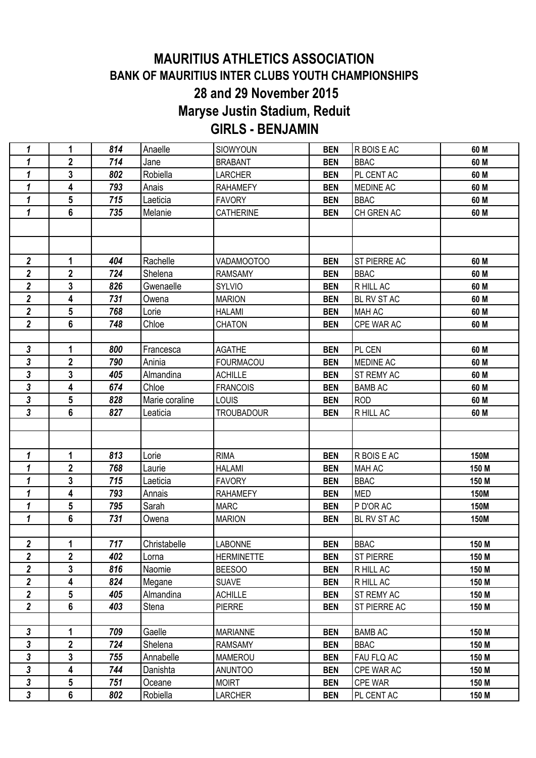## **MAURITIUS ATHLETICS ASSOCIATION BANK OF MAURITIUS INTER CLUBS YOUTH CHAMPIONSHIPS 28 and 29 November 2015 Maryse Justin Stadium, Reduit GIRLS - BENJAMIN**

| 1                          | 1              | 814 | Anaelle        | SIOWYOUN          | <b>BEN</b> | R BOIS E AC      | 60 M        |
|----------------------------|----------------|-----|----------------|-------------------|------------|------------------|-------------|
| 1                          | $\mathbf 2$    | 714 | Jane           | <b>BRABANT</b>    | <b>BEN</b> | <b>BBAC</b>      | 60 M        |
| $\mathbf{1}$               | 3              | 802 | Robiella       | <b>LARCHER</b>    | <b>BEN</b> | PL CENT AC       | 60 M        |
| $\mathbf{1}$               | 4              | 793 | Anais          | <b>RAHAMEFY</b>   | <b>BEN</b> | <b>MEDINE AC</b> | 60 M        |
| 1                          | 5              | 715 | Laeticia       | <b>FAVORY</b>     | <b>BEN</b> | <b>BBAC</b>      | 60 M        |
| $\mathbf{1}$               | 6              | 735 | Melanie        | CATHERINE         | <b>BEN</b> | CH GREN AC       | 60 M        |
|                            |                |     |                |                   |            |                  |             |
|                            |                |     |                |                   |            |                  |             |
| $\overline{\mathbf{2}}$    | 1              | 404 | Rachelle       | VADAMOOTOO        | <b>BEN</b> | ST PIERRE AC     | 60 M        |
| $\boldsymbol{2}$           | $\mathbf 2$    | 724 | Shelena        | <b>RAMSAMY</b>    | <b>BEN</b> | <b>BBAC</b>      | 60 M        |
| $\overline{2}$             | 3              | 826 | Gwenaelle      | SYLVIO            | <b>BEN</b> | R HILL AC        | 60 M        |
| $\overline{2}$             | 4              | 731 | Owena          | <b>MARION</b>     | <b>BEN</b> | BL RV ST AC      | 60 M        |
| $\overline{\mathbf{2}}$    | 5              | 768 | Lorie          | <b>HALAMI</b>     | <b>BEN</b> | <b>MAH AC</b>    | 60 M        |
| $\overline{2}$             | 6              | 748 | Chloe          | <b>CHATON</b>     | <b>BEN</b> | CPE WAR AC       | 60 M        |
|                            |                |     |                |                   |            |                  |             |
| 3                          | 1              | 800 | Francesca      | <b>AGATHE</b>     | <b>BEN</b> | PL CEN           | 60 M        |
| 3                          | $\overline{2}$ | 790 | Aninia         | <b>FOURMACOU</b>  | <b>BEN</b> | MEDINE AC        | 60 M        |
| 3                          | 3              | 405 | Almandina      | <b>ACHILLE</b>    | <b>BEN</b> | ST REMY AC       | 60 M        |
| 3                          | 4              | 674 | Chloe          | <b>FRANCOIS</b>   | <b>BEN</b> | <b>BAMB AC</b>   | 60 M        |
| 3                          | 5              | 828 | Marie coraline | <b>LOUIS</b>      | <b>BEN</b> | <b>ROD</b>       | 60 M        |
| 3                          | 6              | 827 | Leaticia       | <b>TROUBADOUR</b> | <b>BEN</b> | R HILL AC        | 60 M        |
|                            |                |     |                |                   |            |                  |             |
|                            |                |     |                |                   |            |                  |             |
| $\mathbf{1}$               | 1              | 813 | Lorie          | <b>RIMA</b>       | <b>BEN</b> | R BOIS E AC      | <b>150M</b> |
| 1                          | $\mathbf 2$    | 768 | Laurie         | <b>HALAMI</b>     | <b>BEN</b> | <b>MAH AC</b>    | 150 M       |
| 1                          | 3              | 715 | Laeticia       | <b>FAVORY</b>     | <b>BEN</b> | <b>BBAC</b>      | 150 M       |
| $\mathbf{1}$               | 4              | 793 | Annais         | <b>RAHAMEFY</b>   | <b>BEN</b> | <b>MED</b>       | <b>150M</b> |
| 1                          | 5              | 795 | Sarah          | MARC              | <b>BEN</b> | P D'OR AC        | 150M        |
| 1                          | 6              | 731 | Owena          | <b>MARION</b>     | <b>BEN</b> | BL RV ST AC      | <b>150M</b> |
|                            |                |     |                |                   |            |                  |             |
| $\mathbf 2$                | 1              | 717 | Christabelle   | <b>LABONNE</b>    | <b>BEN</b> | <b>BBAC</b>      | 150 M       |
| $\overline{\mathbf{2}}$    | $\mathbf 2$    | 402 | Lorna          | <b>HERMINETTE</b> | <b>BEN</b> | <b>ST PIERRE</b> | 150 M       |
| $\overline{2}$             | 3              | 816 | Naomie         | <b>BEESOO</b>     | <b>BEN</b> | R HILL AC        | 150 M       |
| $\boldsymbol{2}$           | 4              | 824 | Megane         | <b>SUAVE</b>      | <b>BEN</b> | R HILL AC        | 150 M       |
| $\overline{2}$             | 5              | 405 | Almandina      | <b>ACHILLE</b>    | <b>BEN</b> | ST REMY AC       | 150 M       |
| $\overline{\mathbf{2}}$    | 6              | 403 | Stena          | <b>PIERRE</b>     | <b>BEN</b> | ST PIERRE AC     | 150 M       |
|                            |                |     |                |                   |            |                  |             |
| $\mathbf{3}$               | 1              | 709 | Gaelle         | <b>MARIANNE</b>   | <b>BEN</b> | <b>BAMB AC</b>   | 150 M       |
| $\boldsymbol{\mathsf{3}}$  | $\mathbf 2$    | 724 | Shelena        | <b>RAMSAMY</b>    | <b>BEN</b> | <b>BBAC</b>      | 150 M       |
| $\mathbf{3}$               | 3              | 755 | Annabelle      | <b>MAMEROU</b>    | <b>BEN</b> | FAU FLQ AC       | 150 M       |
| $\overline{\mathbf{3}}$    | 4              | 744 | Danishta       | <b>ANUNTOO</b>    | <b>BEN</b> | CPE WAR AC       | 150 M       |
| $\overline{\mathbf{3}}$    | 5              | 751 | Oceane         | <b>MOIRT</b>      | <b>BEN</b> | <b>CPE WAR</b>   | 150 M       |
| $\boldsymbol{\mathcal{S}}$ | 6              | 802 | Robiella       | <b>LARCHER</b>    | <b>BEN</b> | PL CENT AC       | 150 M       |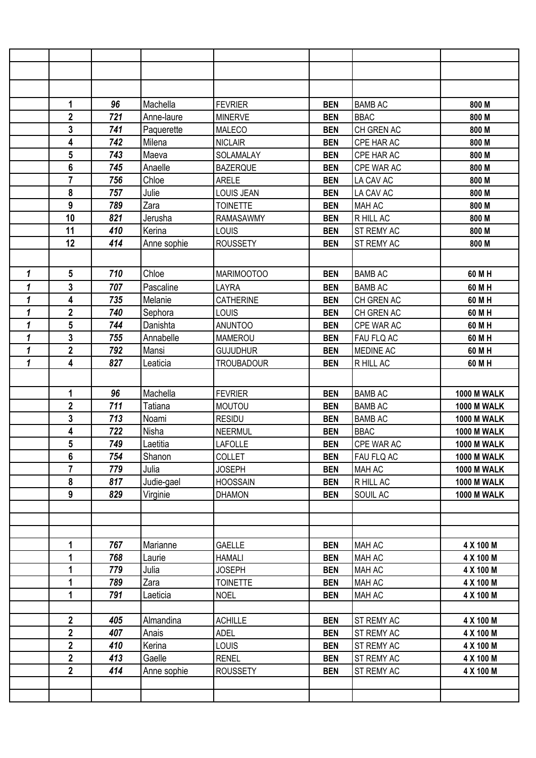|              | 1                       | 96  | Machella    | <b>FEVRIER</b>    | <b>BEN</b> | <b>BAMB AC</b> | 800 M              |
|--------------|-------------------------|-----|-------------|-------------------|------------|----------------|--------------------|
|              | $\overline{\mathbf{2}}$ | 721 | Anne-laure  | <b>MINERVE</b>    | <b>BEN</b> | <b>BBAC</b>    | 800 M              |
|              | 3                       | 741 | Paquerette  | <b>MALECO</b>     | <b>BEN</b> | CH GREN AC     | 800 M              |
|              | 4                       | 742 | Milena      | <b>NICLAIR</b>    | <b>BEN</b> | CPE HAR AC     | 800 M              |
|              | 5                       | 743 | Maeva       | SOLAMALAY         | <b>BEN</b> | CPE HAR AC     | 800 M              |
|              | $6\phantom{1}$          | 745 | Anaelle     | <b>BAZERQUE</b>   | <b>BEN</b> | CPE WAR AC     | 800 M              |
|              | 7                       | 756 | Chloe       | <b>ARELE</b>      | <b>BEN</b> | LA CAV AC      | 800 M              |
|              | 8                       | 757 | Julie       | <b>LOUIS JEAN</b> | <b>BEN</b> | LA CAV AC      | 800 M              |
|              | 9                       | 789 | Zara        | <b>TOINETTE</b>   | <b>BEN</b> | MAH AC         | 800 M              |
|              | 10                      | 821 | Jerusha     | RAMASAWMY         | <b>BEN</b> | R HILL AC      | 800 M              |
|              | 11                      | 410 | Kerina      | LOUIS             | <b>BEN</b> | ST REMY AC     | 800 M              |
|              | 12                      | 414 | Anne sophie | <b>ROUSSETY</b>   | <b>BEN</b> | ST REMY AC     | 800 M              |
|              |                         |     |             |                   |            |                |                    |
| $\mathbf{1}$ | 5                       | 710 | Chloe       | <b>MARIMOOTOO</b> | <b>BEN</b> | <b>BAMB AC</b> | 60 M H             |
| 1            | 3                       | 707 | Pascaline   | LAYRA             | <b>BEN</b> | <b>BAMB AC</b> | 60 M H             |
| 1            | 4                       | 735 | Melanie     | <b>CATHERINE</b>  | <b>BEN</b> | CH GREN AC     | 60 M H             |
| 1            | $\overline{2}$          | 740 | Sephora     | LOUIS             | <b>BEN</b> | CH GREN AC     | 60 M H             |
| 1            | 5                       | 744 | Danishta    | <b>ANUNTOO</b>    | <b>BEN</b> | CPE WAR AC     | 60 M H             |
| 1            | 3                       | 755 | Annabelle   | <b>MAMEROU</b>    | <b>BEN</b> | FAU FLQ AC     | 60 M H             |
| $\mathbf{1}$ | $\overline{2}$          | 792 | Mansi       | <b>GUJUDHUR</b>   | <b>BEN</b> | MEDINE AC      | 60 M H             |
| 1            | 4                       | 827 | Leaticia    | <b>TROUBADOUR</b> | <b>BEN</b> | R HILL AC      | 60 M H             |
|              |                         |     |             |                   |            |                |                    |
|              | 1                       | 96  | Machella    | <b>FEVRIER</b>    | <b>BEN</b> | <b>BAMB AC</b> | <b>1000 M WALK</b> |
|              | $\mathbf 2$             | 711 | Tatiana     | <b>MOUTOU</b>     | <b>BEN</b> | <b>BAMB AC</b> | <b>1000 M WALK</b> |
|              | 3                       | 713 | Noami       | <b>RESIDU</b>     | <b>BEN</b> | <b>BAMB AC</b> | <b>1000 M WALK</b> |
|              | 4                       | 722 | Nisha       | <b>NEERMUL</b>    | <b>BEN</b> | <b>BBAC</b>    | <b>1000 M WALK</b> |
|              | 5                       | 749 | Laetitia    | <b>LAFOLLE</b>    | <b>BEN</b> | CPE WAR AC     | <b>1000 M WALK</b> |
|              | 6                       | 754 | Shanon      | <b>COLLET</b>     | <b>BEN</b> | FAU FLQ AC     | <b>1000 M WALK</b> |
|              | $\overline{7}$          | 779 | Julia       | <b>JOSEPH</b>     | <b>BEN</b> | MAH AC         | <b>1000 M WALK</b> |
|              | 8                       | 817 | Judie-gael  | <b>HOOSSAIN</b>   | <b>BEN</b> | R HILL AC      | <b>1000 M WALK</b> |
|              | 9                       | 829 | Virginie    | <b>DHAMON</b>     | <b>BEN</b> | SOUIL AC       | <b>1000 M WALK</b> |
|              |                         |     |             |                   |            |                |                    |
|              |                         |     |             |                   |            |                |                    |
|              |                         |     |             |                   |            |                |                    |
|              | 1                       | 767 | Marianne    | <b>GAELLE</b>     | <b>BEN</b> | MAH AC         | 4 X 100 M          |
|              | 1                       | 768 | Laurie      | <b>HAMALI</b>     | <b>BEN</b> | MAH AC         | 4 X 100 M          |
|              | 1                       | 779 | Julia       | <b>JOSEPH</b>     | <b>BEN</b> | MAH AC         | 4 X 100 M          |
|              | 1                       | 789 | Zara        | <b>TOINETTE</b>   | <b>BEN</b> | MAH AC         | 4 X 100 M          |
|              | 1                       | 791 | Laeticia    | <b>NOEL</b>       | <b>BEN</b> | MAH AC         | 4 X 100 M          |
|              |                         |     |             |                   |            |                |                    |
|              | $\mathbf{2}$            | 405 | Almandina   | <b>ACHILLE</b>    | <b>BEN</b> | ST REMY AC     | 4 X 100 M          |
|              | $\mathbf{2}$            | 407 | Anais       | <b>ADEL</b>       | <b>BEN</b> | ST REMY AC     | 4 X 100 M          |
|              | $\overline{2}$          | 410 | Kerina      | <b>LOUIS</b>      | <b>BEN</b> | ST REMY AC     | 4 X 100 M          |
|              | $\overline{2}$          | 413 | Gaelle      | <b>RENEL</b>      | <b>BEN</b> | ST REMY AC     | 4 X 100 M          |
|              | $\overline{2}$          | 414 | Anne sophie | <b>ROUSSETY</b>   | <b>BEN</b> | ST REMY AC     | 4 X 100 M          |
|              |                         |     |             |                   |            |                |                    |
|              |                         |     |             |                   |            |                |                    |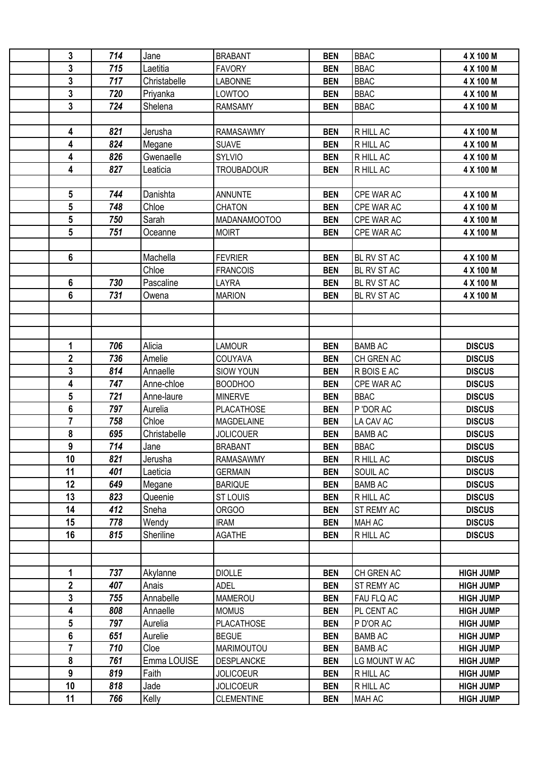| 3              | 714 | Jane         | <b>BRABANT</b>    | <b>BEN</b> | <b>BBAC</b>    | 4 X 100 M        |
|----------------|-----|--------------|-------------------|------------|----------------|------------------|
| 3              | 715 | Laetitia     | <b>FAVORY</b>     | <b>BEN</b> | <b>BBAC</b>    | 4 X 100 M        |
| 3              | 717 | Christabelle | <b>LABONNE</b>    | <b>BEN</b> | <b>BBAC</b>    | 4 X 100 M        |
| 3              | 720 | Priyanka     | <b>LOWTOO</b>     | <b>BEN</b> | <b>BBAC</b>    | 4 X 100 M        |
| $\mathbf{3}$   | 724 | Shelena      | <b>RAMSAMY</b>    | <b>BEN</b> | <b>BBAC</b>    | 4 X 100 M        |
|                |     |              |                   |            |                |                  |
| 4              | 821 | Jerusha      | <b>RAMASAWMY</b>  | <b>BEN</b> | R HILL AC      | 4 X 100 M        |
| 4              | 824 | Megane       | <b>SUAVE</b>      | <b>BEN</b> | R HILL AC      | 4 X 100 M        |
| 4              | 826 | Gwenaelle    | <b>SYLVIO</b>     | <b>BEN</b> | R HILL AC      | 4 X 100 M        |
| 4              | 827 | Leaticia     | <b>TROUBADOUR</b> | <b>BEN</b> | R HILL AC      | 4 X 100 M        |
|                |     |              |                   |            |                |                  |
| 5              | 744 | Danishta     | <b>ANNUNTE</b>    | <b>BEN</b> | CPE WAR AC     | 4 X 100 M        |
| 5              | 748 | Chloe        | <b>CHATON</b>     | <b>BEN</b> | CPE WAR AC     | 4 X 100 M        |
| 5              | 750 | Sarah        | MADANAMOOTOO      | <b>BEN</b> | CPE WAR AC     | 4 X 100 M        |
| 5              | 751 | Oceanne      | <b>MOIRT</b>      | <b>BEN</b> | CPE WAR AC     | 4 X 100 M        |
|                |     |              |                   |            |                |                  |
| 6              |     | Machella     | <b>FEVRIER</b>    | <b>BEN</b> | BL RV ST AC    | 4 X 100 M        |
|                |     | Chloe        | <b>FRANCOIS</b>   | <b>BEN</b> |                |                  |
|                |     | Pascaline    |                   |            | BL RV ST AC    | 4 X 100 M        |
| 6              | 730 |              | <b>LAYRA</b>      | <b>BEN</b> | BL RV ST AC    | 4 X 100 M        |
| 6              | 731 | Owena        | <b>MARION</b>     | <b>BEN</b> | BL RV ST AC    | 4 X 100 M        |
|                |     |              |                   |            |                |                  |
|                |     |              |                   |            |                |                  |
|                |     |              |                   |            |                |                  |
| 1              | 706 | Alicia       | <b>LAMOUR</b>     | <b>BEN</b> | <b>BAMB AC</b> | <b>DISCUS</b>    |
| $\mathbf{2}$   | 736 | Amelie       | COUYAVA           | <b>BEN</b> | CH GREN AC     | <b>DISCUS</b>    |
| 3              | 814 | Annaelle     | <b>SIOW YOUN</b>  | <b>BEN</b> | R BOIS E AC    | <b>DISCUS</b>    |
| 4              | 747 | Anne-chloe   | <b>BOODHOO</b>    | <b>BEN</b> | CPE WAR AC     | <b>DISCUS</b>    |
| 5              | 721 | Anne-laure   | <b>MINERVE</b>    | <b>BEN</b> | <b>BBAC</b>    | <b>DISCUS</b>    |
| $6\phantom{1}$ | 797 | Aurelia      | <b>PLACATHOSE</b> | <b>BEN</b> | P'DOR AC       | <b>DISCUS</b>    |
| $\overline{7}$ | 758 | Chloe        | <b>MAGDELAINE</b> | <b>BEN</b> | LA CAV AC      | <b>DISCUS</b>    |
| 8              | 695 | Christabelle | <b>JOLICOUER</b>  | <b>BEN</b> | <b>BAMB AC</b> | <b>DISCUS</b>    |
| 9              | 714 | Jane         | <b>BRABANT</b>    | <b>BEN</b> | <b>BBAC</b>    | <b>DISCUS</b>    |
| 10             | 821 | Jerusha      | <b>RAMASAWMY</b>  | <b>BEN</b> | R HILL AC      | <b>DISCUS</b>    |
| 11             | 401 | Laeticia     | <b>GERMAIN</b>    | <b>BEN</b> | SOUIL AC       | <b>DISCUS</b>    |
| 12             | 649 | Megane       | <b>BARIQUE</b>    | <b>BEN</b> | <b>BAMB AC</b> | <b>DISCUS</b>    |
| 13             | 823 | Queenie      | <b>ST LOUIS</b>   | <b>BEN</b> | R HILL AC      | <b>DISCUS</b>    |
| 14             | 412 | Sneha        | ORGOO             | <b>BEN</b> | ST REMY AC     | <b>DISCUS</b>    |
| 15             | 778 | Wendy        | <b>IRAM</b>       | <b>BEN</b> | <b>MAH AC</b>  | <b>DISCUS</b>    |
| 16             | 815 | Sheriline    | <b>AGATHE</b>     | <b>BEN</b> | R HILL AC      | <b>DISCUS</b>    |
|                |     |              |                   |            |                |                  |
|                |     |              |                   |            |                |                  |
| 1              | 737 | Akylanne     | <b>DIOLLE</b>     | <b>BEN</b> | CH GREN AC     | <b>HIGH JUMP</b> |
| $\mathbf{2}$   | 407 | Anais        | <b>ADEL</b>       | <b>BEN</b> | ST REMY AC     | <b>HIGH JUMP</b> |
| 3              | 755 | Annabelle    | <b>MAMEROU</b>    | <b>BEN</b> | FAU FLQ AC     | <b>HIGH JUMP</b> |
| 4              | 808 | Annaelle     | <b>MOMUS</b>      | <b>BEN</b> | PL CENT AC     | <b>HIGH JUMP</b> |
| 5              | 797 | Aurelia      | <b>PLACATHOSE</b> | <b>BEN</b> | P D'OR AC      | <b>HIGH JUMP</b> |
| 6              | 651 | Aurelie      | <b>BEGUE</b>      | <b>BEN</b> | <b>BAMB AC</b> | <b>HIGH JUMP</b> |
| $\overline{7}$ | 710 | Cloe         | MARIMOUTOU        | <b>BEN</b> | <b>BAMB AC</b> | <b>HIGH JUMP</b> |
| 8              | 761 | Emma LOUISE  | <b>DESPLANCKE</b> | <b>BEN</b> | LG MOUNT W AC  | <b>HIGH JUMP</b> |
| 9              | 819 | Faith        | <b>JOLICOEUR</b>  | <b>BEN</b> | R HILL AC      | <b>HIGH JUMP</b> |
| 10             | 818 | Jade         | <b>JOLICOEUR</b>  | <b>BEN</b> | R HILL AC      | <b>HIGH JUMP</b> |
| 11             | 766 | Kelly        | <b>CLEMENTINE</b> | <b>BEN</b> | MAH AC         | <b>HIGH JUMP</b> |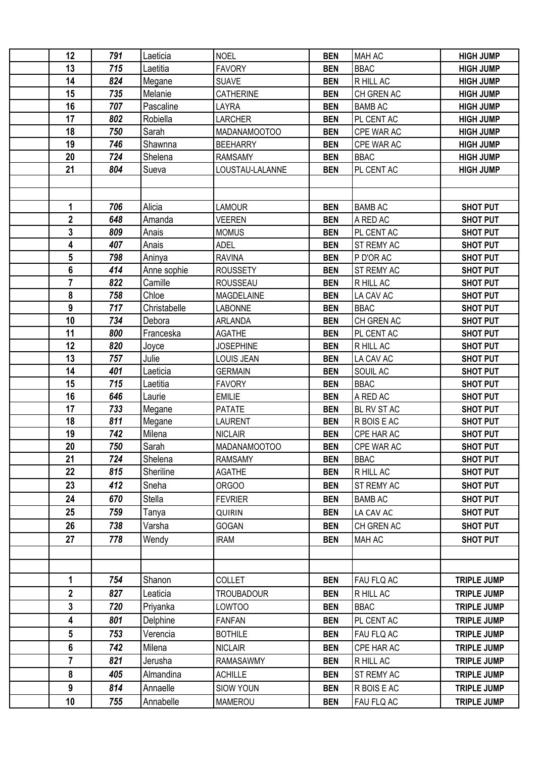| 12             | 791 | Laeticia     | <b>NOEL</b>       | <b>BEN</b> | <b>MAH AC</b>  | <b>HIGH JUMP</b>   |
|----------------|-----|--------------|-------------------|------------|----------------|--------------------|
| 13             | 715 | Laetitia     | <b>FAVORY</b>     | <b>BEN</b> | <b>BBAC</b>    | <b>HIGH JUMP</b>   |
| 14             | 824 | Megane       | <b>SUAVE</b>      | <b>BEN</b> | R HILL AC      | <b>HIGH JUMP</b>   |
| 15             | 735 | Melanie      | CATHERINE         | <b>BEN</b> | CH GREN AC     | <b>HIGH JUMP</b>   |
| 16             | 707 | Pascaline    | LAYRA             | <b>BEN</b> | <b>BAMB AC</b> | <b>HIGH JUMP</b>   |
| 17             | 802 | Robiella     | <b>LARCHER</b>    | <b>BEN</b> | PL CENT AC     | <b>HIGH JUMP</b>   |
| 18             | 750 | Sarah        | MADANAMOOTOO      | <b>BEN</b> | CPE WAR AC     | <b>HIGH JUMP</b>   |
| 19             | 746 | Shawnna      | <b>BEEHARRY</b>   | <b>BEN</b> | CPE WAR AC     | <b>HIGH JUMP</b>   |
| 20             | 724 | Shelena      | <b>RAMSAMY</b>    | <b>BEN</b> | <b>BBAC</b>    | <b>HIGH JUMP</b>   |
| 21             | 804 | Sueva        | LOUSTAU-LALANNE   | <b>BEN</b> | PL CENT AC     | <b>HIGH JUMP</b>   |
|                |     |              |                   |            |                |                    |
|                |     |              |                   |            |                |                    |
| 1              | 706 | Alicia       | <b>LAMOUR</b>     | <b>BEN</b> | <b>BAMB AC</b> | <b>SHOT PUT</b>    |
| $\overline{2}$ | 648 | Amanda       | <b>VEEREN</b>     | <b>BEN</b> | A RED AC       | <b>SHOT PUT</b>    |
| 3              | 809 | Anais        | <b>MOMUS</b>      | <b>BEN</b> | PL CENT AC     | <b>SHOT PUT</b>    |
| 4              | 407 | Anais        | <b>ADEL</b>       | <b>BEN</b> | ST REMY AC     | <b>SHOT PUT</b>    |
| 5              | 798 | Aninya       | <b>RAVINA</b>     | <b>BEN</b> | P D'OR AC      | <b>SHOT PUT</b>    |
| 6              | 414 | Anne sophie  | <b>ROUSSETY</b>   | <b>BEN</b> | ST REMY AC     | <b>SHOT PUT</b>    |
| $\overline{7}$ | 822 | Camille      | ROUSSEAU          | <b>BEN</b> | R HILL AC      | <b>SHOT PUT</b>    |
| 8              | 758 | Chloe        | <b>MAGDELAINE</b> | <b>BEN</b> | LA CAV AC      | <b>SHOT PUT</b>    |
| 9              | 717 | Christabelle | <b>LABONNE</b>    | <b>BEN</b> | <b>BBAC</b>    | <b>SHOT PUT</b>    |
| 10             | 734 | Debora       | ARLANDA           | <b>BEN</b> | CH GREN AC     | <b>SHOT PUT</b>    |
| 11             | 800 | Franceska    | <b>AGATHE</b>     | <b>BEN</b> | PL CENT AC     | <b>SHOT PUT</b>    |
| 12             | 820 | Joyce        | <b>JOSEPHINE</b>  | <b>BEN</b> | R HILL AC      | <b>SHOT PUT</b>    |
| 13             | 757 | Julie        | LOUIS JEAN        | <b>BEN</b> | LA CAV AC      | <b>SHOT PUT</b>    |
| 14             | 401 | Laeticia     | <b>GERMAIN</b>    | <b>BEN</b> | SOUIL AC       | <b>SHOT PUT</b>    |
| 15             | 715 | Laetitia     | <b>FAVORY</b>     | <b>BEN</b> | <b>BBAC</b>    | <b>SHOT PUT</b>    |
| 16             | 646 | Laurie       | <b>EMILIE</b>     | <b>BEN</b> | A RED AC       | <b>SHOT PUT</b>    |
| 17             | 733 | Megane       | <b>PATATE</b>     | <b>BEN</b> | BL RV ST AC    | <b>SHOT PUT</b>    |
| 18             | 811 | Megane       | <b>LAURENT</b>    | <b>BEN</b> | R BOIS E AC    | <b>SHOT PUT</b>    |
| 19             | 742 | Milena       | <b>NICLAIR</b>    | <b>BEN</b> | CPE HAR AC     | <b>SHOT PUT</b>    |
| 20             | 750 | Sarah        | MADANAMOOTOO      | <b>BEN</b> | CPE WAR AC     | <b>SHOT PUT</b>    |
| 21             | 724 | Shelena      | <b>RAMSAMY</b>    | <b>BEN</b> | <b>BBAC</b>    | <b>SHOT PUT</b>    |
| 22             | 815 | Sheriline    | <b>AGATHE</b>     | <b>BEN</b> | R HILL AC      | <b>SHOT PUT</b>    |
| 23             | 412 | Sneha        | ORGOO             | <b>BEN</b> | ST REMY AC     | <b>SHOT PUT</b>    |
| 24             | 670 | Stella       | <b>FEVRIER</b>    | <b>BEN</b> | <b>BAMB AC</b> | <b>SHOT PUT</b>    |
| 25             | 759 | Tanya        | <b>QUIRIN</b>     | <b>BEN</b> | LA CAV AC      | <b>SHOT PUT</b>    |
| 26             | 738 | Varsha       | <b>GOGAN</b>      | <b>BEN</b> | CH GREN AC     | <b>SHOT PUT</b>    |
| 27             | 778 | Wendy        | <b>IRAM</b>       | <b>BEN</b> | MAH AC         | <b>SHOT PUT</b>    |
|                |     |              |                   |            |                |                    |
|                |     |              |                   |            |                |                    |
| 1              | 754 | Shanon       | <b>COLLET</b>     | <b>BEN</b> | FAU FLQ AC     | <b>TRIPLE JUMP</b> |
| $\mathbf 2$    | 827 | Leaticia     | <b>TROUBADOUR</b> | <b>BEN</b> | R HILL AC      | <b>TRIPLE JUMP</b> |
| 3              | 720 | Priyanka     | LOWTOO            | <b>BEN</b> | <b>BBAC</b>    | <b>TRIPLE JUMP</b> |
| 4              | 801 | Delphine     | <b>FANFAN</b>     | <b>BEN</b> | PL CENT AC     | <b>TRIPLE JUMP</b> |
| 5              | 753 | Verencia     | <b>BOTHILE</b>    | <b>BEN</b> | FAU FLQ AC     | <b>TRIPLE JUMP</b> |
| 6              | 742 | Milena       | <b>NICLAIR</b>    | <b>BEN</b> | CPE HAR AC     | <b>TRIPLE JUMP</b> |
| $\overline{7}$ | 821 | Jerusha      | <b>RAMASAWMY</b>  | <b>BEN</b> | R HILL AC      | <b>TRIPLE JUMP</b> |
| 8              | 405 | Almandina    | <b>ACHILLE</b>    | <b>BEN</b> | ST REMY AC     | <b>TRIPLE JUMP</b> |
| 9              | 814 | Annaelle     | <b>SIOW YOUN</b>  | <b>BEN</b> | R BOIS E AC    | <b>TRIPLE JUMP</b> |
| 10             | 755 | Annabelle    | MAMEROU           | <b>BEN</b> | FAU FLQ AC     | <b>TRIPLE JUMP</b> |
|                |     |              |                   |            |                |                    |